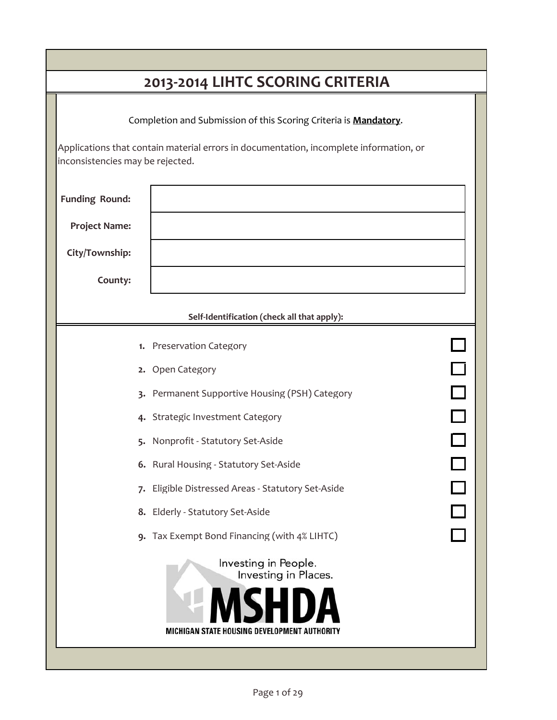|                                                                 | 2013-2014 LIHTC SCORING CRITERIA                                                                                                                           |        |
|-----------------------------------------------------------------|------------------------------------------------------------------------------------------------------------------------------------------------------------|--------|
| inconsistencies may be rejected.                                | Completion and Submission of this Scoring Criteria is Mandatory.<br>Applications that contain material errors in documentation, incomplete information, or |        |
| <b>Funding Round:</b><br><b>Project Name:</b><br>City/Township: |                                                                                                                                                            |        |
| County:                                                         |                                                                                                                                                            |        |
|                                                                 | Self-Identification (check all that apply):                                                                                                                |        |
|                                                                 | 1. Preservation Category                                                                                                                                   |        |
|                                                                 | 2. Open Category                                                                                                                                           | $\Box$ |
|                                                                 | 3. Permanent Supportive Housing (PSH) Category                                                                                                             | $\Box$ |
|                                                                 | 4. Strategic Investment Category                                                                                                                           | $\Box$ |
|                                                                 | 5. Nonprofit - Statutory Set-Aside                                                                                                                         |        |
|                                                                 | 6. Rural Housing - Statutory Set-Aside                                                                                                                     |        |
|                                                                 | 7. Eligible Distressed Areas - Statutory Set-Aside                                                                                                         |        |
|                                                                 | 8. Elderly - Statutory Set-Aside                                                                                                                           | $\Box$ |
|                                                                 | 9. Tax Exempt Bond Financing (with 4% LIHTC)                                                                                                               | П      |
|                                                                 | Investing in People.<br>Investing in Places.<br>MICHIGAN STATE HOUSING DEVELOPMENT AUTHORITY                                                               |        |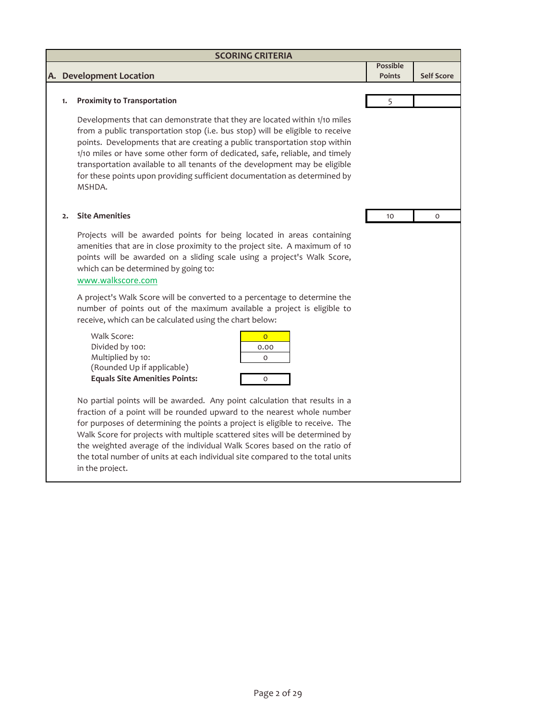|    | <b>SCORING CRITERIA</b>                                                                                                                                                                                                                                                                                                                                                                                                                                                                             |                                  |                   |
|----|-----------------------------------------------------------------------------------------------------------------------------------------------------------------------------------------------------------------------------------------------------------------------------------------------------------------------------------------------------------------------------------------------------------------------------------------------------------------------------------------------------|----------------------------------|-------------------|
|    | A. Development Location                                                                                                                                                                                                                                                                                                                                                                                                                                                                             | <b>Possible</b><br><b>Points</b> | <b>Self Score</b> |
|    |                                                                                                                                                                                                                                                                                                                                                                                                                                                                                                     |                                  |                   |
| 1. | <b>Proximity to Transportation</b>                                                                                                                                                                                                                                                                                                                                                                                                                                                                  | 5                                |                   |
|    | Developments that can demonstrate that they are located within 1/10 miles<br>from a public transportation stop (i.e. bus stop) will be eligible to receive<br>points. Developments that are creating a public transportation stop within<br>1/10 miles or have some other form of dedicated, safe, reliable, and timely<br>transportation available to all tenants of the development may be eligible<br>for these points upon providing sufficient documentation as determined by<br>MSHDA.        |                                  |                   |
| 2. | <b>Site Amenities</b>                                                                                                                                                                                                                                                                                                                                                                                                                                                                               | 10                               | $\circ$           |
|    | Projects will be awarded points for being located in areas containing<br>amenities that are in close proximity to the project site. A maximum of 10<br>points will be awarded on a sliding scale using a project's Walk Score,<br>which can be determined by going to:<br>www.walkscore.com                                                                                                                                                                                                         |                                  |                   |
|    | A project's Walk Score will be converted to a percentage to determine the<br>number of points out of the maximum available a project is eligible to<br>receive, which can be calculated using the chart below:                                                                                                                                                                                                                                                                                      |                                  |                   |
|    | Walk Score:<br>$\overline{O}$<br>Divided by 100:<br>0.00<br>Multiplied by 10:<br>O<br>(Rounded Up if applicable)<br><b>Equals Site Amenities Points:</b><br>0                                                                                                                                                                                                                                                                                                                                       |                                  |                   |
|    | No partial points will be awarded. Any point calculation that results in a<br>fraction of a point will be rounded upward to the nearest whole number<br>for purposes of determining the points a project is eligible to receive. The<br>Walk Score for projects with multiple scattered sites will be determined by<br>the weighted average of the individual Walk Scores based on the ratio of<br>the total number of units at each individual site compared to the total units<br>in the project. |                                  |                   |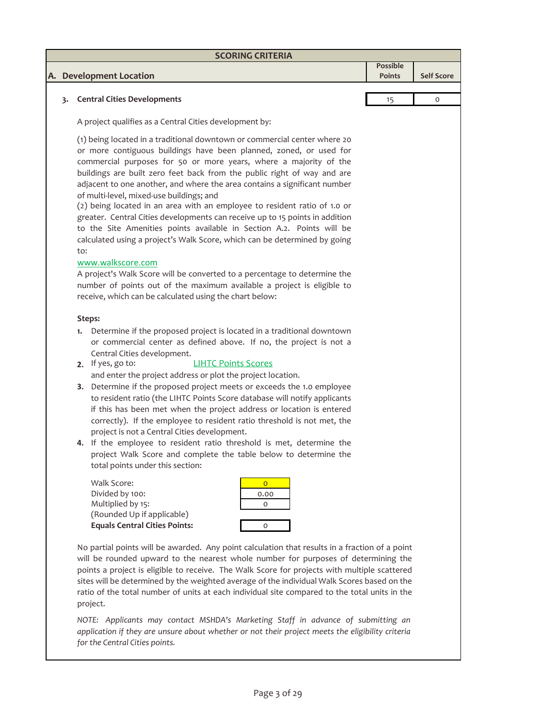|    | <b>SCORING CRITERIA</b>                                 |          |                   |
|----|---------------------------------------------------------|----------|-------------------|
|    |                                                         | Possible |                   |
|    | A. Development Location                                 | Points   | <b>Self Score</b> |
|    |                                                         |          |                   |
| 3. | <b>Central Cities Developments</b>                      | 15       | 0                 |
|    |                                                         |          |                   |
|    | A project qualifies as a Central Cities development by: |          |                   |

(1) being located in a traditional downtown or commercial center where 20 or more contiguous buildings have been planned, zoned, or used for commercial purposes for 50 or more years, where a majority of the buildings are built zero feet back from the public right of way and are adjacent to one another, and where the area contains a significant number of multi‐level, mixed‐use buildings; and

(2) being located in an area with an employee to resident ratio of 1.0 or greater. Central Cities developments can receive up to 15 points in addition to the Site Amenities points available in Section A.2. Points will be calculated using a project's Walk Score, which can be determined by going to:

### www.walkscore.com

A project's Walk Score will be converted to a percentage to determine the number of points out of the maximum available a project is eligible to receive, which can be calculated using the chart below:

### **Steps:**

- **1.** Determine if the proposed project is located in a traditional downtown or commercial center as defined above. If no, the project is not a Central Cities development.
- **2.** If yes, go to: and enter the project address or plot the project location. LIHTC Points Scores
- **3.** Determine if the proposed project meets or exceeds the 1.0 employee to resident ratio (the LIHTC Points Score database will notify applicants if this has been met when the project address or location is entered correctly). If the employee to resident ratio threshold is not met, the project is not a Central Cities development.
- **4.** If the employee to resident ratio threshold is met, determine the project Walk Score and complete the table below to determine the total points under this section:

Walk Score: Divided by 100: Multiplied by 15: (Rounded Up if applicable) **Equals Central Cities Points:** 

| 0.00 |
|------|
| ი    |
|      |
| Λ    |

No partial points will be awarded. Any point calculation that results in a fraction of a point will be rounded upward to the nearest whole number for purposes of determining the points a project is eligible to receive. The Walk Score for projects with multiple scattered sites will be determined by the weighted average of the individual Walk Scores based on the ratio of the total number of units at each individual site compared to the total units in the project.

*NOTE: Applicants may contact MSHDA's Marketing Staff in advance of submitting an application if they are unsure about whether or not their project meets the eligibility criteria for the Central Cities points.*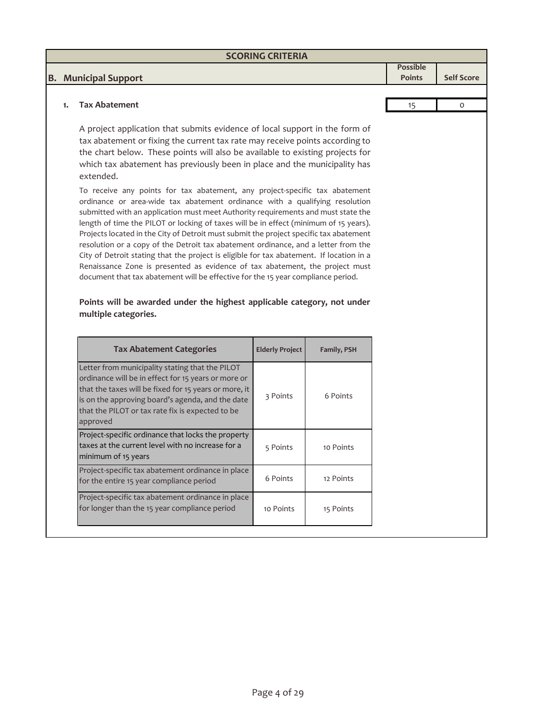|  | <b>SCORING CRITERIA</b>                                                                                                                                                                       |               |                   |
|--|-----------------------------------------------------------------------------------------------------------------------------------------------------------------------------------------------|---------------|-------------------|
|  |                                                                                                                                                                                               | Possible      |                   |
|  | <b>B. Municipal Support</b>                                                                                                                                                                   | <b>Points</b> | <b>Self Score</b> |
|  |                                                                                                                                                                                               |               |                   |
|  | <b>Tax Abatement</b>                                                                                                                                                                          | 15            |                   |
|  | A project application that submits evidence of local support in the form of<br>그 아이들은 그 사람들은 그 사람들은 그 사람들을 지르며 그 사람들을 지르며 아이들이 아니다. 그 사람들은 그 사람들은 그 사람들은 아이들이 아니라 아니라 아니라 아니라 아니라 아니라 아니라 아니라 |               |                   |

tax abatement or fixing the current tax rate may receive points according to the chart below. These points will also be available to existing projects for which tax abatement has previously been in place and the municipality has extended.

To receive any points for tax abatement, any project‐specific tax abatement ordinance or area‐wide tax abatement ordinance with a qualifying resolution submitted with an application must meet Authority requirements and must state the length of time the PILOT or locking of taxes will be in effect (minimum of 15 years). Projects located in the City of Detroit must submit the project specific tax abatement resolution or a copy of the Detroit tax abatement ordinance, and a letter from the City of Detroit stating that the project is eligible for tax abatement. If location in a Renaissance Zone is presented as evidence of tax abatement, the project must document that tax abatement will be effective for the 15 year compliance period.

# **Points will be awarded under the highest applicable category, not under multiple categories.**

| <b>Tax Abatement Categories</b>                                                                                                                                                                                                                                                     | <b>Elderly Project</b> | <b>Family, PSH</b> |
|-------------------------------------------------------------------------------------------------------------------------------------------------------------------------------------------------------------------------------------------------------------------------------------|------------------------|--------------------|
| Letter from municipality stating that the PILOT<br>ordinance will be in effect for 15 years or more or<br>that the taxes will be fixed for 15 years or more, it<br>is on the approving board's agenda, and the date<br>that the PILOT or tax rate fix is expected to be<br>approved | 3 Points               | 6 Points           |
| Project-specific ordinance that locks the property<br>taxes at the current level with no increase for a<br>minimum of 15 years                                                                                                                                                      | 5 Points               | 10 Points          |
| Project-specific tax abatement ordinance in place<br>for the entire 15 year compliance period                                                                                                                                                                                       | 6 Points               | 12 Points          |
| Project-specific tax abatement ordinance in place<br>for longer than the 15 year compliance period                                                                                                                                                                                  | 10 Points              | 15 Points          |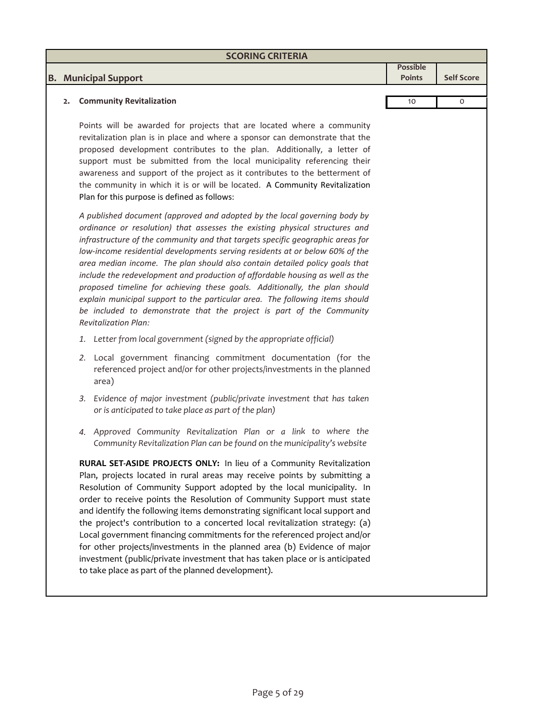| <b>SCORING CRITERIA</b>               |               |                   |
|---------------------------------------|---------------|-------------------|
|                                       | Possible      |                   |
| <b>B. Municipal Support</b>           | <b>Points</b> | <b>Self Score</b> |
|                                       |               |                   |
| <b>Community Revitalization</b><br>2. | 10            |                   |
|                                       |               |                   |

Points will be awarded for projects that are located where a community revitalization plan is in place and where a sponsor can demonstrate that the proposed development contributes to the plan. Additionally, a letter of support must be submitted from the local municipality referencing their awareness and support of the project as it contributes to the betterment of the community in which it is or will be located. A Community Revitalization Plan for this purpose is defined as follows:

*A published document (approved and adopted by the local governing body by ordinance or resolution) that assesses the existing physical structures and infrastructure of the community and that targets specific geographic areas for low‐income residential developments serving residents at or below 60% of the area median income. The plan should also contain detailed policy goals that include the redevelopment and production of affordable housing as well as the proposed timeline for achieving these goals. Additionally, the plan should explain municipal support to the particular area. The following items should be included to demonstrate that the project is part of the Community Revitalization Plan:*

- *1. Letter from local government (signed by the appropriate official)*
- 2. Local government financing commitment documentation (for the referenced project and/or for other projects/investments in the planned area)
- *3. Evidence of major investment (public/private investment that has taken or is anticipated to take place as part of the plan)*
- *4. Approved Community Revitalization Plan or a link to where the Community Revitalization Plan can be found on the municipality's website*

**RURAL SET‐ASIDE PROJECTS ONLY:** In lieu of a Community Revitalization Plan, projects located in rural areas may receive points by submitting a Resolution of Community Support adopted by the local municipality. In order to receive points the Resolution of Community Support must state and identify the following items demonstrating significant local support and the project's contribution to a concerted local revitalization strategy: (a) Local government financing commitments for the referenced project and/or for other projects/investments in the planned area (b) Evidence of major investment (public/private investment that has taken place or is anticipated to take place as part of the planned development).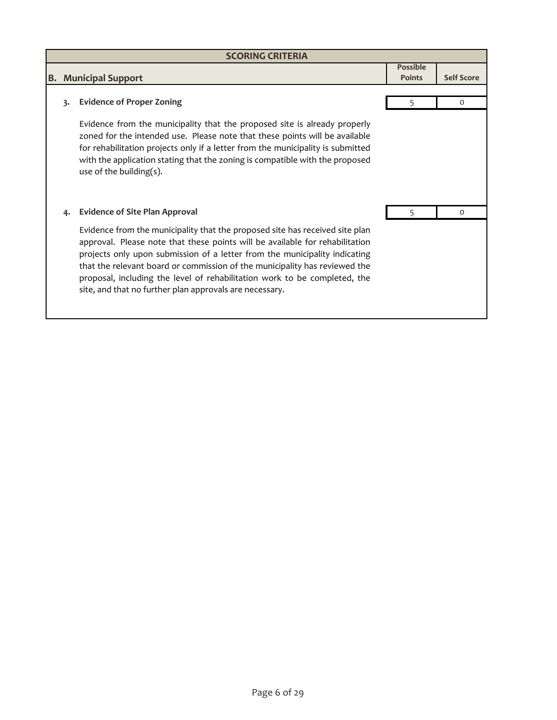|    | <b>SCORING CRITERIA</b>                                                                                                                                                                                                                                                                                                                                                                                                                                          |                                  |                   |
|----|------------------------------------------------------------------------------------------------------------------------------------------------------------------------------------------------------------------------------------------------------------------------------------------------------------------------------------------------------------------------------------------------------------------------------------------------------------------|----------------------------------|-------------------|
|    | <b>B.</b> Municipal Support                                                                                                                                                                                                                                                                                                                                                                                                                                      | <b>Possible</b><br><b>Points</b> | <b>Self Score</b> |
|    |                                                                                                                                                                                                                                                                                                                                                                                                                                                                  |                                  |                   |
| 3. | <b>Evidence of Proper Zoning</b>                                                                                                                                                                                                                                                                                                                                                                                                                                 | 5                                | 0                 |
|    | Evidence from the municipality that the proposed site is already properly<br>zoned for the intended use. Please note that these points will be available<br>for rehabilitation projects only if a letter from the municipality is submitted<br>with the application stating that the zoning is compatible with the proposed<br>use of the building(s).                                                                                                           |                                  |                   |
| 4. | <b>Evidence of Site Plan Approval</b>                                                                                                                                                                                                                                                                                                                                                                                                                            |                                  | 0                 |
|    | Evidence from the municipality that the proposed site has received site plan<br>approval. Please note that these points will be available for rehabilitation<br>projects only upon submission of a letter from the municipality indicating<br>that the relevant board or commission of the municipality has reviewed the<br>proposal, including the level of rehabilitation work to be completed, the<br>site, and that no further plan approvals are necessary. |                                  |                   |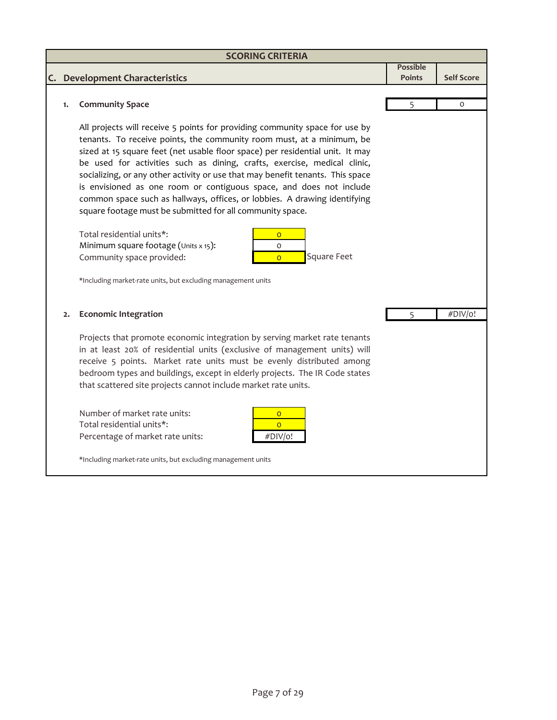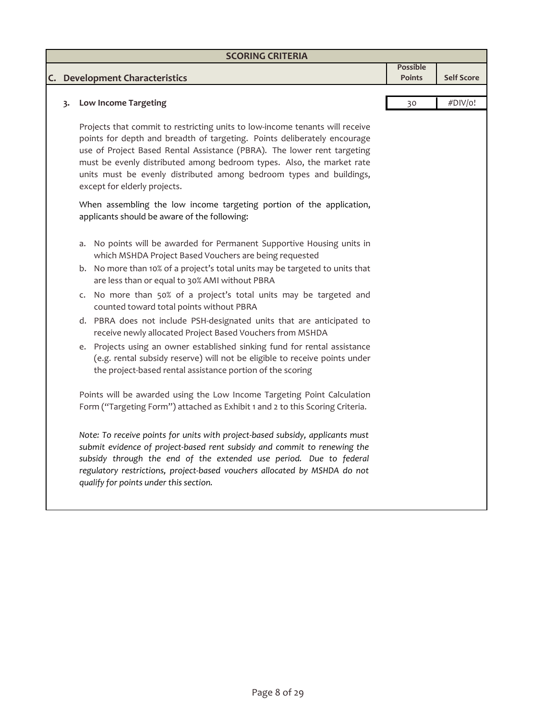|    |    | <b>SCORING CRITERIA</b>                                                                                                                                                                                                                                                                                                                                                                                             |                                  |                   |
|----|----|---------------------------------------------------------------------------------------------------------------------------------------------------------------------------------------------------------------------------------------------------------------------------------------------------------------------------------------------------------------------------------------------------------------------|----------------------------------|-------------------|
| C. |    | <b>Development Characteristics</b>                                                                                                                                                                                                                                                                                                                                                                                  | <b>Possible</b><br><b>Points</b> | <b>Self Score</b> |
|    |    | <b>Low Income Targeting</b>                                                                                                                                                                                                                                                                                                                                                                                         |                                  | #DIV/o!           |
|    | 3. |                                                                                                                                                                                                                                                                                                                                                                                                                     | 30                               |                   |
|    |    | Projects that commit to restricting units to low-income tenants will receive<br>points for depth and breadth of targeting. Points deliberately encourage<br>use of Project Based Rental Assistance (PBRA). The lower rent targeting<br>must be evenly distributed among bedroom types. Also, the market rate<br>units must be evenly distributed among bedroom types and buildings,<br>except for elderly projects. |                                  |                   |
|    |    | When assembling the low income targeting portion of the application,<br>applicants should be aware of the following:                                                                                                                                                                                                                                                                                                |                                  |                   |
|    |    | No points will be awarded for Permanent Supportive Housing units in<br>a.<br>which MSHDA Project Based Vouchers are being requested                                                                                                                                                                                                                                                                                 |                                  |                   |
|    |    | b. No more than 10% of a project's total units may be targeted to units that<br>are less than or equal to 30% AMI without PBRA                                                                                                                                                                                                                                                                                      |                                  |                   |
|    |    | c. No more than 50% of a project's total units may be targeted and<br>counted toward total points without PBRA                                                                                                                                                                                                                                                                                                      |                                  |                   |
|    |    | d. PBRA does not include PSH-designated units that are anticipated to<br>receive newly allocated Project Based Vouchers from MSHDA                                                                                                                                                                                                                                                                                  |                                  |                   |
|    |    | e. Projects using an owner established sinking fund for rental assistance<br>(e.g. rental subsidy reserve) will not be eligible to receive points under<br>the project-based rental assistance portion of the scoring                                                                                                                                                                                               |                                  |                   |
|    |    | Points will be awarded using the Low Income Targeting Point Calculation<br>Form ("Targeting Form") attached as Exhibit 1 and 2 to this Scoring Criteria.                                                                                                                                                                                                                                                            |                                  |                   |
|    |    | Note: To receive points for units with project-based subsidy, applicants must<br>submit evidence of project-based rent subsidy and commit to renewing the<br>subsidy through the end of the extended use period. Due to federal<br>regulatory restrictions, project-based vouchers allocated by MSHDA do not<br>qualify for points under this section.                                                              |                                  |                   |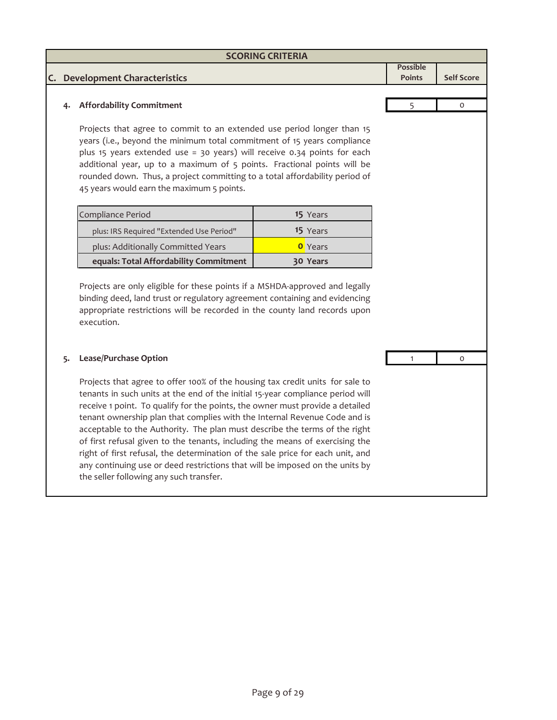# **C. Development Characteristics Possible Points** Self Score **SCORING CRITERIA 4.** 5 0 **Affordability Commitment**

Projects that agree to commit to an extended use period longer than 15 years (i.e., beyond the minimum total commitment of 15 years compliance plus 15 years extended use = 30 years) will receive 0.34 points for each additional year, up to a maximum of 5 points. Fractional points will be rounded down. Thus, a project committing to a total affordability period of 45 years would earn the maximum 5 points.

| Compliance Period                        | <b>15</b> Years |
|------------------------------------------|-----------------|
| plus: IRS Required "Extended Use Period" | 15 Years        |
| plus: Additionally Committed Years       | <b>O</b> Years  |
| equals: Total Affordability Commitment   | 30 Years        |

Projects are only eligible for these points if a MSHDA‐approved and legally binding deed, land trust or regulatory agreement containing and evidencing appropriate restrictions will be recorded in the county land records upon execution.

# **5.** 1 0 **Lease/Purchase Option**

Projects that agree to offer 100% of the housing tax credit units for sale to tenants in such units at the end of the initial 15‐year compliance period will receive 1 point. To qualify for the points, the owner must provide a detailed tenant ownership plan that complies with the Internal Revenue Code and is acceptable to the Authority. The plan must describe the terms of the right of first refusal given to the tenants, including the means of exercising the right of first refusal, the determination of the sale price for each unit, and any continuing use or deed restrictions that will be imposed on the units by the seller following any such transfer.

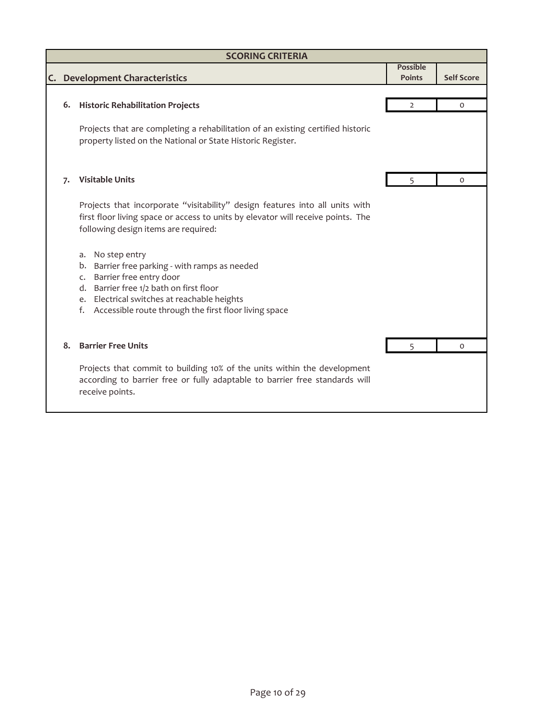|    |    | <b>SCORING CRITERIA</b>                                                                                                                                                                                                                                               |                                  |                   |
|----|----|-----------------------------------------------------------------------------------------------------------------------------------------------------------------------------------------------------------------------------------------------------------------------|----------------------------------|-------------------|
| C. |    | <b>Development Characteristics</b>                                                                                                                                                                                                                                    | <b>Possible</b><br><b>Points</b> | <b>Self Score</b> |
|    |    | 6. Historic Rehabilitation Projects                                                                                                                                                                                                                                   | $\overline{2}$                   | $\circ$           |
|    |    | Projects that are completing a rehabilitation of an existing certified historic<br>property listed on the National or State Historic Register.                                                                                                                        |                                  |                   |
|    | 7. | <b>Visitable Units</b>                                                                                                                                                                                                                                                | 5                                | $\Omega$          |
|    |    | Projects that incorporate "visitability" design features into all units with<br>first floor living space or access to units by elevator will receive points. The<br>following design items are required:                                                              |                                  |                   |
|    |    | No step entry<br>a.<br>Barrier free parking - with ramps as needed<br>b.<br>Barrier free entry door<br>c.<br>Barrier free 1/2 bath on first floor<br>d.<br>e. Electrical switches at reachable heights<br>Accessible route through the first floor living space<br>f. |                                  |                   |
|    | 8. | <b>Barrier Free Units</b>                                                                                                                                                                                                                                             |                                  | $\Omega$          |
|    |    | Projects that commit to building 10% of the units within the development<br>according to barrier free or fully adaptable to barrier free standards will<br>receive points.                                                                                            |                                  |                   |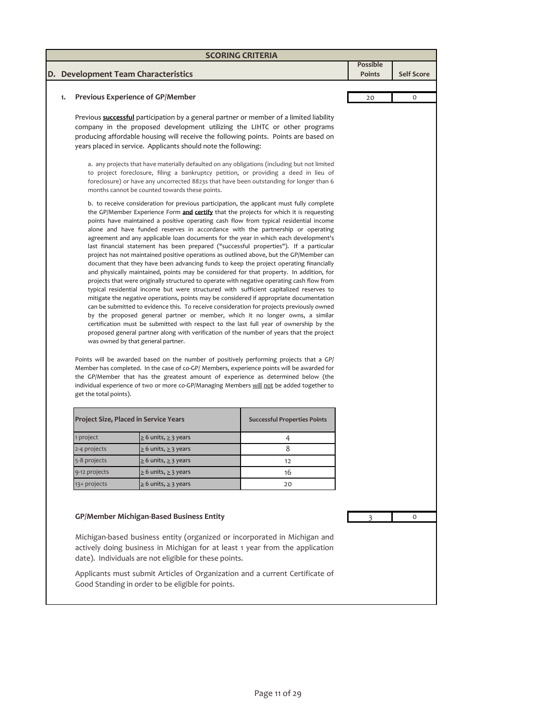| 1.<br>b. to receive consideration for previous participation, the applicant must fully complete |                        | D. Development Team Characteristics<br><b>Previous Experience of GP/Member</b><br>years placed in service. Applicants should note the following: | Previous <b>successful</b> participation by a general partner or member of a limited liability<br>company in the proposed development utilizing the LIHTC or other programs<br>producing affordable housing will receive the following points. Points are based on                                                                                                                                                                                                                                                                                                                                                                                                                                                                                                                                                                                                                                                                                                                                                                                                                                                                                                                                                                                                                                                                                                                                                                                                                   | <b>Possible</b><br>Points<br>20 | <b>Self Score</b><br>O |
|-------------------------------------------------------------------------------------------------|------------------------|--------------------------------------------------------------------------------------------------------------------------------------------------|--------------------------------------------------------------------------------------------------------------------------------------------------------------------------------------------------------------------------------------------------------------------------------------------------------------------------------------------------------------------------------------------------------------------------------------------------------------------------------------------------------------------------------------------------------------------------------------------------------------------------------------------------------------------------------------------------------------------------------------------------------------------------------------------------------------------------------------------------------------------------------------------------------------------------------------------------------------------------------------------------------------------------------------------------------------------------------------------------------------------------------------------------------------------------------------------------------------------------------------------------------------------------------------------------------------------------------------------------------------------------------------------------------------------------------------------------------------------------------------|---------------------------------|------------------------|
|                                                                                                 |                        |                                                                                                                                                  |                                                                                                                                                                                                                                                                                                                                                                                                                                                                                                                                                                                                                                                                                                                                                                                                                                                                                                                                                                                                                                                                                                                                                                                                                                                                                                                                                                                                                                                                                      |                                 |                        |
|                                                                                                 |                        |                                                                                                                                                  |                                                                                                                                                                                                                                                                                                                                                                                                                                                                                                                                                                                                                                                                                                                                                                                                                                                                                                                                                                                                                                                                                                                                                                                                                                                                                                                                                                                                                                                                                      |                                 |                        |
|                                                                                                 |                        |                                                                                                                                                  |                                                                                                                                                                                                                                                                                                                                                                                                                                                                                                                                                                                                                                                                                                                                                                                                                                                                                                                                                                                                                                                                                                                                                                                                                                                                                                                                                                                                                                                                                      |                                 |                        |
|                                                                                                 |                        |                                                                                                                                                  |                                                                                                                                                                                                                                                                                                                                                                                                                                                                                                                                                                                                                                                                                                                                                                                                                                                                                                                                                                                                                                                                                                                                                                                                                                                                                                                                                                                                                                                                                      |                                 |                        |
|                                                                                                 |                        |                                                                                                                                                  |                                                                                                                                                                                                                                                                                                                                                                                                                                                                                                                                                                                                                                                                                                                                                                                                                                                                                                                                                                                                                                                                                                                                                                                                                                                                                                                                                                                                                                                                                      |                                 |                        |
|                                                                                                 |                        | months cannot be counted towards these points.                                                                                                   | a. any projects that have materially defaulted on any obligations (including but not limited<br>to project foreclosure, filing a bankruptcy petition, or providing a deed in lieu of<br>foreclosure) or have any uncorrected 8823s that have been outstanding for longer than 6                                                                                                                                                                                                                                                                                                                                                                                                                                                                                                                                                                                                                                                                                                                                                                                                                                                                                                                                                                                                                                                                                                                                                                                                      |                                 |                        |
|                                                                                                 |                        | was owned by that general partner.<br>Member has completed. In the case of co-GP/ Members, experience points will be awarded for                 | the GP/Member Experience Form and certify that the projects for which it is requesting<br>points have maintained a positive operating cash flow from typical residential income<br>alone and have funded reserves in accordance with the partnership or operating<br>agreement and any applicable loan documents for the year in which each development's<br>last financial statement has been prepared ("successful properties"). If a particular<br>project has not maintained positive operations as outlined above, but the GP/Member can<br>document that they have been advancing funds to keep the project operating financially<br>and physically maintained, points may be considered for that property. In addition, for<br>projects that were originally structured to operate with negative operating cash flow from<br>typical residential income but were structured with sufficient capitalized reserves to<br>mitigate the negative operations, points may be considered if appropriate documentation<br>can be submitted to evidence this. To receive consideration for projects previously owned<br>by the proposed general partner or member, which it no longer owns, a similar<br>certification must be submitted with respect to the last full year of ownership by the<br>proposed general partner along with verification of the number of years that the project<br>Points will be awarded based on the number of positively performing projects that a GP/ |                                 |                        |
|                                                                                                 | get the total points). |                                                                                                                                                  | the GP/Member that has the greatest amount of experience as determined below (the<br>individual experience of two or more co-GP/Managing Members will not be added together to                                                                                                                                                                                                                                                                                                                                                                                                                                                                                                                                                                                                                                                                                                                                                                                                                                                                                                                                                                                                                                                                                                                                                                                                                                                                                                       |                                 |                        |
|                                                                                                 |                        | Project Size, Placed in Service Years                                                                                                            | <b>Successful Properties Points</b>                                                                                                                                                                                                                                                                                                                                                                                                                                                                                                                                                                                                                                                                                                                                                                                                                                                                                                                                                                                                                                                                                                                                                                                                                                                                                                                                                                                                                                                  |                                 |                        |
| 1 project                                                                                       |                        | $\geq$ 6 units, $\geq$ 3 years                                                                                                                   | 4                                                                                                                                                                                                                                                                                                                                                                                                                                                                                                                                                                                                                                                                                                                                                                                                                                                                                                                                                                                                                                                                                                                                                                                                                                                                                                                                                                                                                                                                                    |                                 |                        |
|                                                                                                 | 2-4 projects           | $\geq$ 6 units, $\geq$ 3 years                                                                                                                   | 8                                                                                                                                                                                                                                                                                                                                                                                                                                                                                                                                                                                                                                                                                                                                                                                                                                                                                                                                                                                                                                                                                                                                                                                                                                                                                                                                                                                                                                                                                    |                                 |                        |
|                                                                                                 | 5-8 projects           | ≥ 6 units, ≥ 3 years                                                                                                                             | 12                                                                                                                                                                                                                                                                                                                                                                                                                                                                                                                                                                                                                                                                                                                                                                                                                                                                                                                                                                                                                                                                                                                                                                                                                                                                                                                                                                                                                                                                                   |                                 |                        |
|                                                                                                 | 9-12 projects          | $\geq 6$ units, $\geq 3$ years                                                                                                                   | 16                                                                                                                                                                                                                                                                                                                                                                                                                                                                                                                                                                                                                                                                                                                                                                                                                                                                                                                                                                                                                                                                                                                                                                                                                                                                                                                                                                                                                                                                                   |                                 |                        |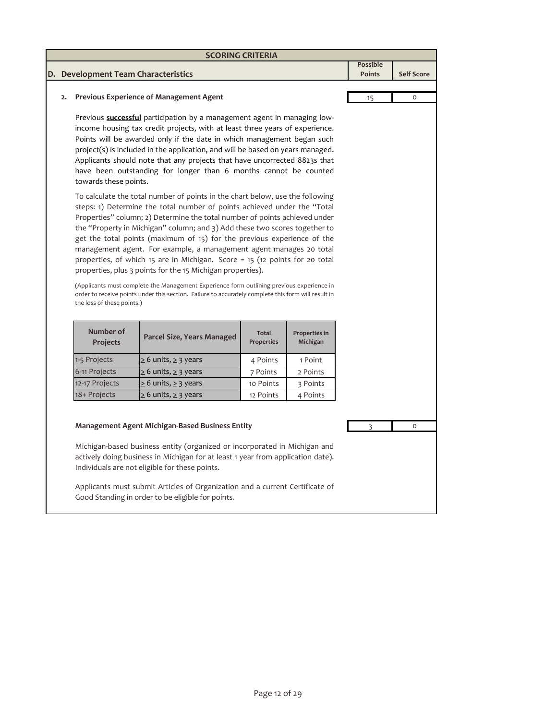|    | <b>SCORING CRITERIA</b>                                                                                                                                                                                                                                                                                                                                                                                                                                                                                                                                                                                                                                                                                                                                                                                                 |                                                                                                                                                                                                                                                                                                                                                                                                                                                                              |                            |                                  |                           |                   |  |
|----|-------------------------------------------------------------------------------------------------------------------------------------------------------------------------------------------------------------------------------------------------------------------------------------------------------------------------------------------------------------------------------------------------------------------------------------------------------------------------------------------------------------------------------------------------------------------------------------------------------------------------------------------------------------------------------------------------------------------------------------------------------------------------------------------------------------------------|------------------------------------------------------------------------------------------------------------------------------------------------------------------------------------------------------------------------------------------------------------------------------------------------------------------------------------------------------------------------------------------------------------------------------------------------------------------------------|----------------------------|----------------------------------|---------------------------|-------------------|--|
|    |                                                                                                                                                                                                                                                                                                                                                                                                                                                                                                                                                                                                                                                                                                                                                                                                                         |                                                                                                                                                                                                                                                                                                                                                                                                                                                                              |                            |                                  | <b>Possible</b><br>Points |                   |  |
|    | D. Development Team Characteristics                                                                                                                                                                                                                                                                                                                                                                                                                                                                                                                                                                                                                                                                                                                                                                                     |                                                                                                                                                                                                                                                                                                                                                                                                                                                                              |                            |                                  |                           | <b>Self Score</b> |  |
| 2. |                                                                                                                                                                                                                                                                                                                                                                                                                                                                                                                                                                                                                                                                                                                                                                                                                         | <b>Previous Experience of Management Agent</b>                                                                                                                                                                                                                                                                                                                                                                                                                               |                            |                                  | 15                        | O                 |  |
|    | towards these points.                                                                                                                                                                                                                                                                                                                                                                                                                                                                                                                                                                                                                                                                                                                                                                                                   | Previous <b>successful</b> participation by a management agent in managing low-<br>income housing tax credit projects, with at least three years of experience.<br>Points will be awarded only if the date in which management began such<br>project(s) is included in the application, and will be based on years managed.<br>Applicants should note that any projects that have uncorrected 8823s that<br>have been outstanding for longer than 6 months cannot be counted |                            |                                  |                           |                   |  |
|    | To calculate the total number of points in the chart below, use the following<br>steps: 1) Determine the total number of points achieved under the "Total<br>Properties" column; 2) Determine the total number of points achieved under<br>the "Property in Michigan" column; and 3) Add these two scores together to<br>get the total points (maximum of 15) for the previous experience of the<br>management agent. For example, a management agent manages 20 total<br>properties, of which 15 are in Michigan. Score = 15 (12 points for 20 total<br>properties, plus 3 points for the 15 Michigan properties).<br>(Applicants must complete the Management Experience form outlining previous experience in<br>order to receive points under this section. Failure to accurately complete this form will result in |                                                                                                                                                                                                                                                                                                                                                                                                                                                                              |                            |                                  |                           |                   |  |
|    | Number of<br>Projects                                                                                                                                                                                                                                                                                                                                                                                                                                                                                                                                                                                                                                                                                                                                                                                                   | Parcel Size, Years Managed                                                                                                                                                                                                                                                                                                                                                                                                                                                   | Total<br><b>Properties</b> | <b>Properties in</b><br>Michigan |                           |                   |  |
|    | 1-5 Projects                                                                                                                                                                                                                                                                                                                                                                                                                                                                                                                                                                                                                                                                                                                                                                                                            | $\geq$ 6 units, $\geq$ 3 years                                                                                                                                                                                                                                                                                                                                                                                                                                               | 4 Points                   | 1 Point                          |                           |                   |  |
|    | 6-11 Projects                                                                                                                                                                                                                                                                                                                                                                                                                                                                                                                                                                                                                                                                                                                                                                                                           | $\geq$ 6 units, $\geq$ 3 years                                                                                                                                                                                                                                                                                                                                                                                                                                               | 7 Points                   | 2 Points                         |                           |                   |  |
|    | 12-17 Projects                                                                                                                                                                                                                                                                                                                                                                                                                                                                                                                                                                                                                                                                                                                                                                                                          | $\geq 6$ units, $\geq 3$ years                                                                                                                                                                                                                                                                                                                                                                                                                                               | 10 Points                  | 3 Points                         |                           |                   |  |
|    | 18+ Projects                                                                                                                                                                                                                                                                                                                                                                                                                                                                                                                                                                                                                                                                                                                                                                                                            | $\geq 6$ units, $\geq 3$ years                                                                                                                                                                                                                                                                                                                                                                                                                                               | 12 Points                  | 4 Points                         |                           |                   |  |
|    | Individuals are not eligible for these points.                                                                                                                                                                                                                                                                                                                                                                                                                                                                                                                                                                                                                                                                                                                                                                          | Management Agent Michigan-Based Business Entity<br>Michigan-based business entity (organized or incorporated in Michigan and<br>actively doing business in Michigan for at least 1 year from application date).                                                                                                                                                                                                                                                              |                            |                                  | 3                         | 0                 |  |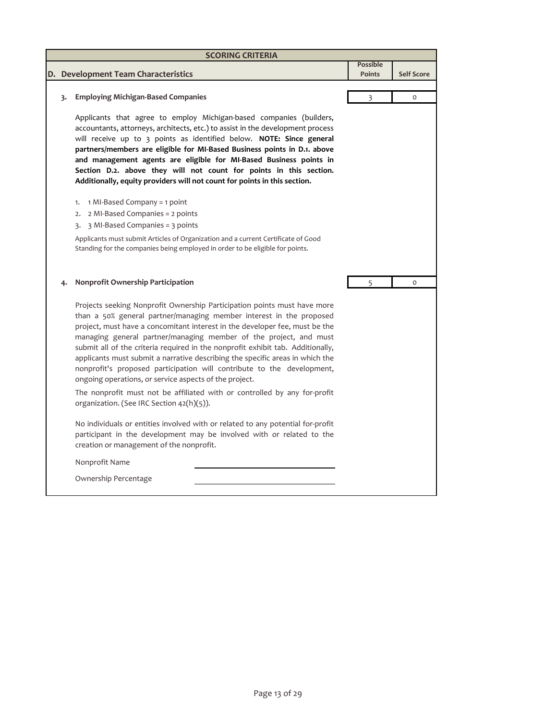| <b>SCORING CRITERIA</b> |                                                                                                                                                                                                                                                                                                                                                                                                                                                                                                                                                                                                                                                                                                                                       |                                  |                   |  |  |  |  |
|-------------------------|---------------------------------------------------------------------------------------------------------------------------------------------------------------------------------------------------------------------------------------------------------------------------------------------------------------------------------------------------------------------------------------------------------------------------------------------------------------------------------------------------------------------------------------------------------------------------------------------------------------------------------------------------------------------------------------------------------------------------------------|----------------------------------|-------------------|--|--|--|--|
|                         |                                                                                                                                                                                                                                                                                                                                                                                                                                                                                                                                                                                                                                                                                                                                       | <b>Possible</b><br><b>Points</b> | <b>Self Score</b> |  |  |  |  |
|                         | D. Development Team Characteristics                                                                                                                                                                                                                                                                                                                                                                                                                                                                                                                                                                                                                                                                                                   |                                  |                   |  |  |  |  |
| 3.                      | <b>Employing Michigan-Based Companies</b>                                                                                                                                                                                                                                                                                                                                                                                                                                                                                                                                                                                                                                                                                             | 3                                | $\circ$           |  |  |  |  |
|                         | Applicants that agree to employ Michigan-based companies (builders,<br>accountants, attorneys, architects, etc.) to assist in the development process<br>will receive up to 3 points as identified below. NOTE: Since general<br>partners/members are eligible for MI-Based Business points in D.1. above<br>and management agents are eligible for MI-Based Business points in<br>Section D.2. above they will not count for points in this section.<br>Additionally, equity providers will not count for points in this section.                                                                                                                                                                                                    |                                  |                   |  |  |  |  |
|                         | 1 MI-Based Company = 1 point<br>1.<br>2 MI-Based Companies = 2 points<br>2.<br>3. 3 MI-Based Companies = 3 points                                                                                                                                                                                                                                                                                                                                                                                                                                                                                                                                                                                                                     |                                  |                   |  |  |  |  |
|                         | Applicants must submit Articles of Organization and a current Certificate of Good<br>Standing for the companies being employed in order to be eligible for points.                                                                                                                                                                                                                                                                                                                                                                                                                                                                                                                                                                    |                                  |                   |  |  |  |  |
| 4.                      | Nonprofit Ownership Participation                                                                                                                                                                                                                                                                                                                                                                                                                                                                                                                                                                                                                                                                                                     | 5                                | $\Omega$          |  |  |  |  |
|                         | Projects seeking Nonprofit Ownership Participation points must have more<br>than a 50% general partner/managing member interest in the proposed<br>project, must have a concomitant interest in the developer fee, must be the<br>managing general partner/managing member of the project, and must<br>submit all of the criteria required in the nonprofit exhibit tab. Additionally,<br>applicants must submit a narrative describing the specific areas in which the<br>nonprofit's proposed participation will contribute to the development,<br>ongoing operations, or service aspects of the project.<br>The nonprofit must not be affiliated with or controlled by any for-profit<br>organization. (See IRC Section 42(h)(5)). |                                  |                   |  |  |  |  |
|                         | No individuals or entities involved with or related to any potential for-profit<br>participant in the development may be involved with or related to the<br>creation or management of the nonprofit.                                                                                                                                                                                                                                                                                                                                                                                                                                                                                                                                  |                                  |                   |  |  |  |  |
|                         | Nonprofit Name                                                                                                                                                                                                                                                                                                                                                                                                                                                                                                                                                                                                                                                                                                                        |                                  |                   |  |  |  |  |
|                         | Ownership Percentage                                                                                                                                                                                                                                                                                                                                                                                                                                                                                                                                                                                                                                                                                                                  |                                  |                   |  |  |  |  |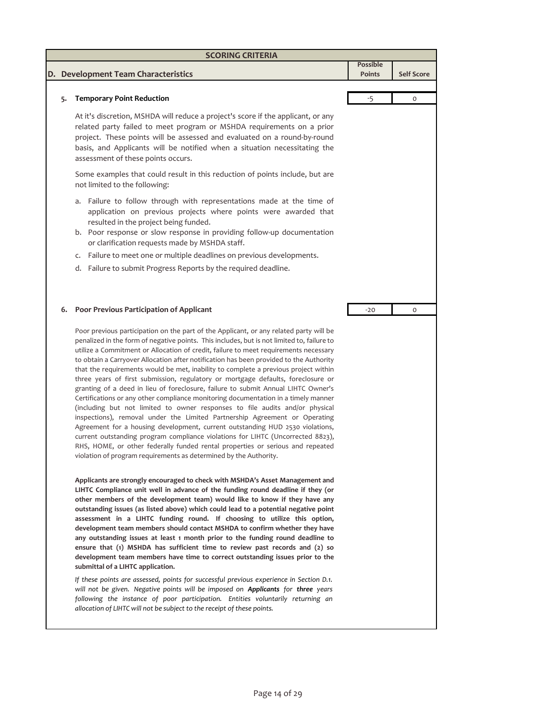| <b>SCORING CRITERIA</b> |    |                                                                                                                                                                                                                                                                                                                                                                                                                                                                                                                                                                                                                                                                                                                                                                                                                                                                                                                                                                                                                                                                                                                                                                                                                                                                                                        |                           |                   |
|-------------------------|----|--------------------------------------------------------------------------------------------------------------------------------------------------------------------------------------------------------------------------------------------------------------------------------------------------------------------------------------------------------------------------------------------------------------------------------------------------------------------------------------------------------------------------------------------------------------------------------------------------------------------------------------------------------------------------------------------------------------------------------------------------------------------------------------------------------------------------------------------------------------------------------------------------------------------------------------------------------------------------------------------------------------------------------------------------------------------------------------------------------------------------------------------------------------------------------------------------------------------------------------------------------------------------------------------------------|---------------------------|-------------------|
|                         |    | D. Development Team Characteristics                                                                                                                                                                                                                                                                                                                                                                                                                                                                                                                                                                                                                                                                                                                                                                                                                                                                                                                                                                                                                                                                                                                                                                                                                                                                    | <b>Possible</b><br>Points | <b>Self Score</b> |
|                         |    |                                                                                                                                                                                                                                                                                                                                                                                                                                                                                                                                                                                                                                                                                                                                                                                                                                                                                                                                                                                                                                                                                                                                                                                                                                                                                                        |                           |                   |
|                         | 5. | <b>Temporary Point Reduction</b>                                                                                                                                                                                                                                                                                                                                                                                                                                                                                                                                                                                                                                                                                                                                                                                                                                                                                                                                                                                                                                                                                                                                                                                                                                                                       | $-5$                      | O                 |
|                         |    | At it's discretion, MSHDA will reduce a project's score if the applicant, or any<br>related party failed to meet program or MSHDA requirements on a prior<br>project. These points will be assessed and evaluated on a round-by-round<br>basis, and Applicants will be notified when a situation necessitating the<br>assessment of these points occurs.                                                                                                                                                                                                                                                                                                                                                                                                                                                                                                                                                                                                                                                                                                                                                                                                                                                                                                                                               |                           |                   |
|                         |    | Some examples that could result in this reduction of points include, but are<br>not limited to the following:                                                                                                                                                                                                                                                                                                                                                                                                                                                                                                                                                                                                                                                                                                                                                                                                                                                                                                                                                                                                                                                                                                                                                                                          |                           |                   |
|                         |    | a. Failure to follow through with representations made at the time of<br>application on previous projects where points were awarded that<br>resulted in the project being funded.<br>b. Poor response or slow response in providing follow-up documentation<br>or clarification requests made by MSHDA staff.<br>Failure to meet one or multiple deadlines on previous developments.<br>C.<br>Failure to submit Progress Reports by the required deadline.<br>d.                                                                                                                                                                                                                                                                                                                                                                                                                                                                                                                                                                                                                                                                                                                                                                                                                                       |                           |                   |
|                         | 6. | <b>Poor Previous Participation of Applicant</b>                                                                                                                                                                                                                                                                                                                                                                                                                                                                                                                                                                                                                                                                                                                                                                                                                                                                                                                                                                                                                                                                                                                                                                                                                                                        | $-20$                     | O                 |
|                         |    | Poor previous participation on the part of the Applicant, or any related party will be<br>penalized in the form of negative points. This includes, but is not limited to, failure to<br>utilize a Commitment or Allocation of credit, failure to meet requirements necessary<br>to obtain a Carryover Allocation after notification has been provided to the Authority<br>that the requirements would be met, inability to complete a previous project within<br>three years of first submission, regulatory or mortgage defaults, foreclosure or<br>granting of a deed in lieu of foreclosure, failure to submit Annual LIHTC Owner's<br>Certifications or any other compliance monitoring documentation in a timely manner<br>(including but not limited to owner responses to file audits and/or physical<br>inspections), removal under the Limited Partnership Agreement or Operating<br>Agreement for a housing development, current outstanding HUD 2530 violations,<br>current outstanding program compliance violations for LIHTC (Uncorrected 8823),<br>RHS, HOME, or other federally funded rental properties or serious and repeated<br>violation of program requirements as determined by the Authority.<br>Applicants are strongly encouraged to check with MSHDA's Asset Management and |                           |                   |
|                         |    | LIHTC Compliance unit well in advance of the funding round deadline if they (or<br>other members of the development team) would like to know if they have any<br>outstanding issues (as listed above) which could lead to a potential negative point<br>assessment in a LIHTC funding round. If choosing to utilize this option,<br>development team members should contact MSHDA to confirm whether they have<br>any outstanding issues at least 1 month prior to the funding round deadline to<br>ensure that $(1)$ MSHDA has sufficient time to review past records and $(2)$ so<br>development team members have time to correct outstanding issues prior to the<br>submittal of a LIHTC application.                                                                                                                                                                                                                                                                                                                                                                                                                                                                                                                                                                                              |                           |                   |
|                         |    | If these points are assessed, points for successful previous experience in Section D.1.<br>will not be given. Negative points will be imposed on Applicants for three years<br>following the instance of poor participation. Entities voluntarily returning an<br>allocation of LIHTC will not be subject to the receipt of these points.                                                                                                                                                                                                                                                                                                                                                                                                                                                                                                                                                                                                                                                                                                                                                                                                                                                                                                                                                              |                           |                   |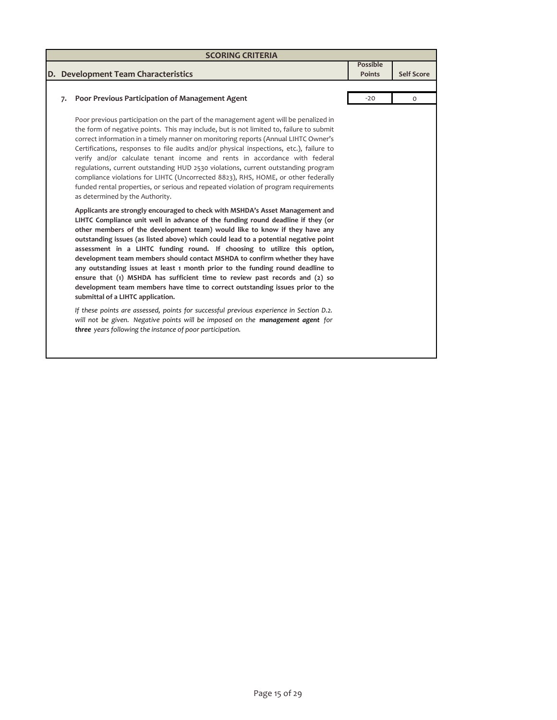| <b>Possible</b><br><b>Points</b> |                   |
|----------------------------------|-------------------|
|                                  | <b>Self Score</b> |
| $-20$                            | $\circ$           |
|                                  |                   |
|                                  |                   |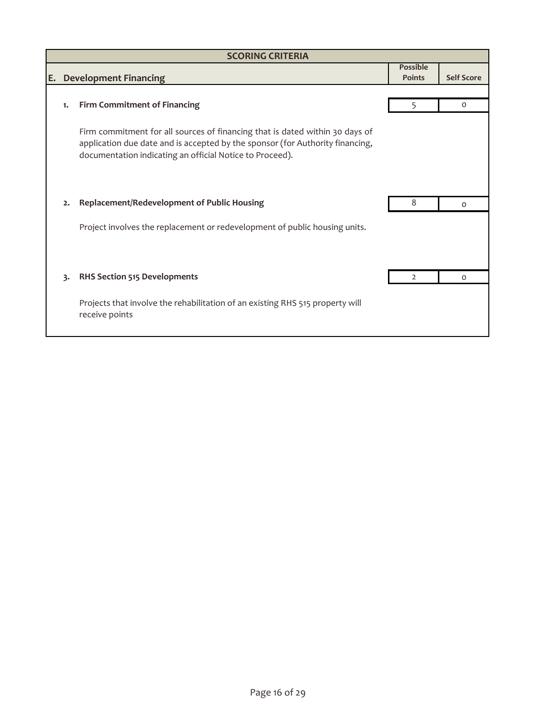|    | <b>SCORING CRITERIA</b> |                                                                                                                                                                                                                           |                                  |                   |  |
|----|-------------------------|---------------------------------------------------------------------------------------------------------------------------------------------------------------------------------------------------------------------------|----------------------------------|-------------------|--|
| E. |                         | <b>Development Financing</b>                                                                                                                                                                                              | <b>Possible</b><br><b>Points</b> | <b>Self Score</b> |  |
|    | 1.                      | <b>Firm Commitment of Financing</b>                                                                                                                                                                                       | 5                                | 0                 |  |
|    |                         | Firm commitment for all sources of financing that is dated within 30 days of<br>application due date and is accepted by the sponsor (for Authority financing,<br>documentation indicating an official Notice to Proceed). |                                  |                   |  |
|    | 2.                      | Replacement/Redevelopment of Public Housing<br>Project involves the replacement or redevelopment of public housing units.                                                                                                 | 8                                | $\Omega$          |  |
|    | 3.                      | RHS Section 515 Developments<br>Projects that involve the rehabilitation of an existing RHS 515 property will<br>receive points                                                                                           | 2                                | $\Omega$          |  |
|    |                         |                                                                                                                                                                                                                           |                                  |                   |  |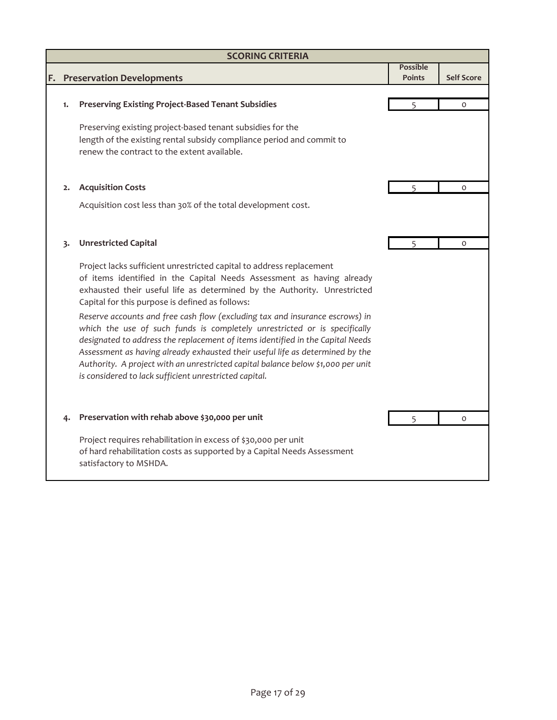|    | <b>SCORING CRITERIA</b> |                                                                                                                                                                                                                                                                                                                                                                                                                                                                            |                                  |                   |  |
|----|-------------------------|----------------------------------------------------------------------------------------------------------------------------------------------------------------------------------------------------------------------------------------------------------------------------------------------------------------------------------------------------------------------------------------------------------------------------------------------------------------------------|----------------------------------|-------------------|--|
| F. |                         | <b>Preservation Developments</b>                                                                                                                                                                                                                                                                                                                                                                                                                                           | <b>Possible</b><br><b>Points</b> | <b>Self Score</b> |  |
|    | 1.                      | <b>Preserving Existing Project-Based Tenant Subsidies</b>                                                                                                                                                                                                                                                                                                                                                                                                                  |                                  | $\circ$           |  |
|    |                         | Preserving existing project-based tenant subsidies for the<br>length of the existing rental subsidy compliance period and commit to<br>renew the contract to the extent available.                                                                                                                                                                                                                                                                                         |                                  |                   |  |
|    | 2.                      | <b>Acquisition Costs</b>                                                                                                                                                                                                                                                                                                                                                                                                                                                   |                                  | $\circ$           |  |
|    |                         | Acquisition cost less than 30% of the total development cost.                                                                                                                                                                                                                                                                                                                                                                                                              |                                  |                   |  |
|    |                         |                                                                                                                                                                                                                                                                                                                                                                                                                                                                            |                                  |                   |  |
|    | 3.                      | <b>Unrestricted Capital</b>                                                                                                                                                                                                                                                                                                                                                                                                                                                |                                  | $\Omega$          |  |
|    |                         | Project lacks sufficient unrestricted capital to address replacement<br>of items identified in the Capital Needs Assessment as having already<br>exhausted their useful life as determined by the Authority. Unrestricted<br>Capital for this purpose is defined as follows:                                                                                                                                                                                               |                                  |                   |  |
|    |                         | Reserve accounts and free cash flow (excluding tax and insurance escrows) in<br>which the use of such funds is completely unrestricted or is specifically<br>designated to address the replacement of items identified in the Capital Needs<br>Assessment as having already exhausted their useful life as determined by the<br>Authority. A project with an unrestricted capital balance below \$1,000 per unit<br>is considered to lack sufficient unrestricted capital. |                                  |                   |  |
|    | 4.                      | Preservation with rehab above \$30,000 per unit                                                                                                                                                                                                                                                                                                                                                                                                                            | 5                                | $\Omega$          |  |
|    |                         | Project requires rehabilitation in excess of \$30,000 per unit<br>of hard rehabilitation costs as supported by a Capital Needs Assessment<br>satisfactory to MSHDA.                                                                                                                                                                                                                                                                                                        |                                  |                   |  |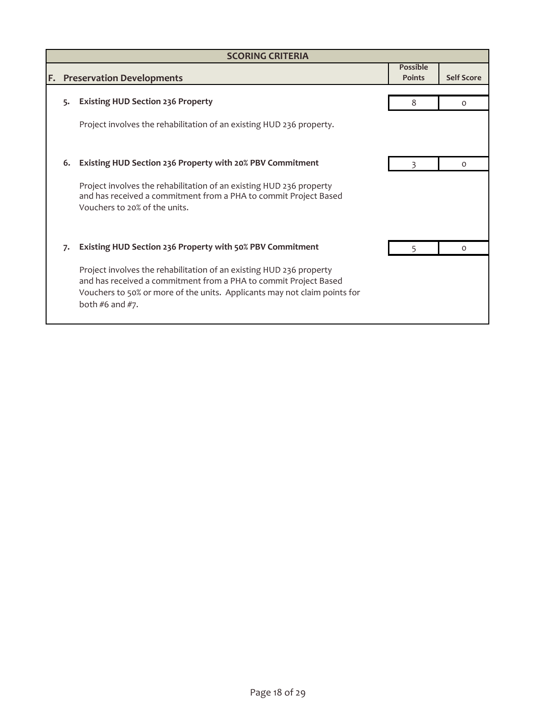| <b>SCORING CRITERIA</b> |    |                                                                                                                                                                                                                                         |                                  |                   |  |
|-------------------------|----|-----------------------------------------------------------------------------------------------------------------------------------------------------------------------------------------------------------------------------------------|----------------------------------|-------------------|--|
|                         |    | <b>F. Preservation Developments</b>                                                                                                                                                                                                     | <b>Possible</b><br><b>Points</b> | <b>Self Score</b> |  |
|                         | 5. | <b>Existing HUD Section 236 Property</b>                                                                                                                                                                                                | 8                                | 0                 |  |
|                         |    | Project involves the rehabilitation of an existing HUD 236 property.                                                                                                                                                                    |                                  |                   |  |
|                         | 6. | Existing HUD Section 236 Property with 20% PBV Commitment                                                                                                                                                                               |                                  | $\Omega$          |  |
|                         |    | Project involves the rehabilitation of an existing HUD 236 property<br>and has received a commitment from a PHA to commit Project Based<br>Vouchers to 20% of the units.                                                                |                                  |                   |  |
|                         | 7. | Existing HUD Section 236 Property with 50% PBV Commitment                                                                                                                                                                               | 5                                | O                 |  |
|                         |    | Project involves the rehabilitation of an existing HUD 236 property<br>and has received a commitment from a PHA to commit Project Based<br>Vouchers to 50% or more of the units. Applicants may not claim points for<br>both #6 and #7. |                                  |                   |  |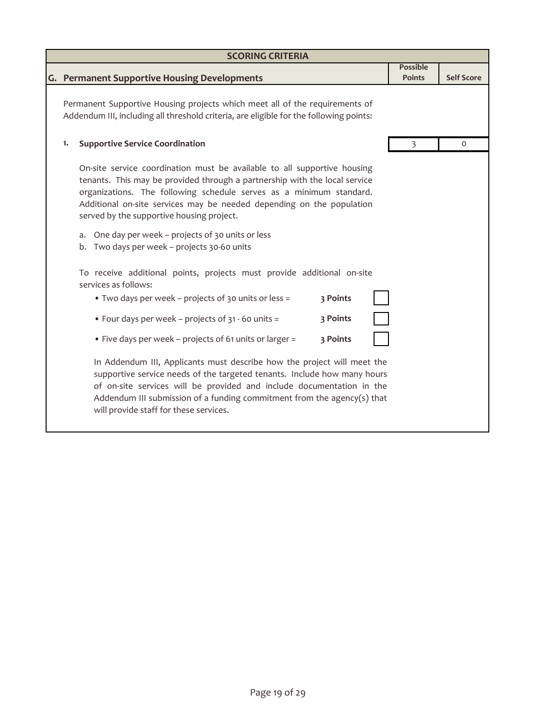| <b>SCORING CRITERIA</b> |                                                                                                                                                                                                                                                                                                                                                     |                 |                   |  |  |
|-------------------------|-----------------------------------------------------------------------------------------------------------------------------------------------------------------------------------------------------------------------------------------------------------------------------------------------------------------------------------------------------|-----------------|-------------------|--|--|
|                         |                                                                                                                                                                                                                                                                                                                                                     | <b>Possible</b> |                   |  |  |
|                         | <b>G. Permanent Supportive Housing Developments</b>                                                                                                                                                                                                                                                                                                 | <b>Points</b>   | <b>Self Score</b> |  |  |
|                         | Permanent Supportive Housing projects which meet all of the requirements of<br>Addendum III, including all threshold criteria, are eligible for the following points:                                                                                                                                                                               |                 |                   |  |  |
| 1.                      | <b>Supportive Service Coordination</b>                                                                                                                                                                                                                                                                                                              | 3               | $\Omega$          |  |  |
|                         | On-site service coordination must be available to all supportive housing<br>tenants. This may be provided through a partnership with the local service<br>organizations. The following schedule serves as a minimum standard.<br>Additional on-site services may be needed depending on the population<br>served by the supportive housing project. |                 |                   |  |  |
|                         | One day per week - projects of 30 units or less<br>a.<br>Two days per week - projects 30-60 units<br>b.                                                                                                                                                                                                                                             |                 |                   |  |  |
|                         | To receive additional points, projects must provide additional on-site<br>services as follows:                                                                                                                                                                                                                                                      |                 |                   |  |  |
|                         | 3 Points<br>. Two days per week - projects of 30 units or less =                                                                                                                                                                                                                                                                                    |                 |                   |  |  |
|                         | . Four days per week - projects of 31 - 60 units =<br>3 Points                                                                                                                                                                                                                                                                                      |                 |                   |  |  |
|                         | • Five days per week - projects of 61 units or larger =<br>3 Points                                                                                                                                                                                                                                                                                 |                 |                   |  |  |
|                         | In Addendum III, Applicants must describe how the project will meet the<br>supportive service needs of the targeted tenants. Include how many hours<br>of on-site services will be provided and include documentation in the<br>Addendum III submission of a funding commitment from the agency(s) that<br>will provide staff for these services.   |                 |                   |  |  |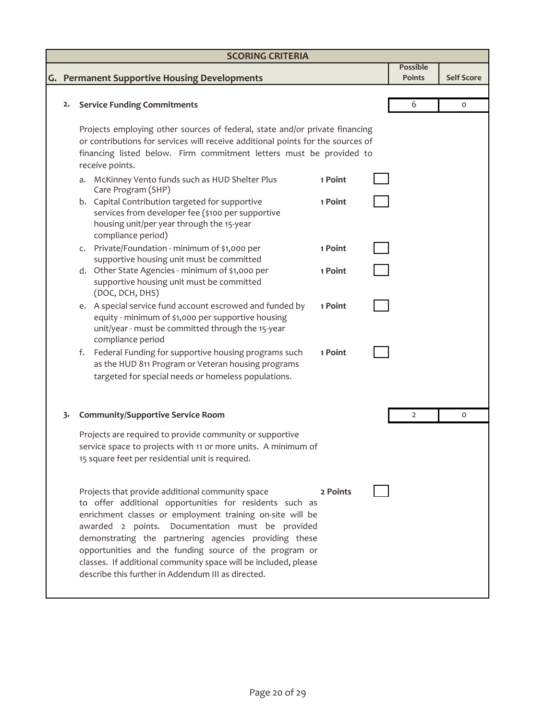| <b>SCORING CRITERIA</b> |                                                                                                                                                                                                                                                                                                                                                                                                                                                                          |          |  |                                  |                   |  |  |
|-------------------------|--------------------------------------------------------------------------------------------------------------------------------------------------------------------------------------------------------------------------------------------------------------------------------------------------------------------------------------------------------------------------------------------------------------------------------------------------------------------------|----------|--|----------------------------------|-------------------|--|--|
|                         |                                                                                                                                                                                                                                                                                                                                                                                                                                                                          |          |  | <b>Possible</b><br><b>Points</b> | <b>Self Score</b> |  |  |
|                         | G. Permanent Supportive Housing Developments                                                                                                                                                                                                                                                                                                                                                                                                                             |          |  |                                  |                   |  |  |
| 2.                      | <b>Service Funding Commitments</b>                                                                                                                                                                                                                                                                                                                                                                                                                                       |          |  | 6                                | 0                 |  |  |
|                         | Projects employing other sources of federal, state and/or private financing<br>or contributions for services will receive additional points for the sources of<br>financing listed below. Firm commitment letters must be provided to<br>receive points.                                                                                                                                                                                                                 |          |  |                                  |                   |  |  |
|                         | a. McKinney Vento funds such as HUD Shelter Plus<br>Care Program (SHP)                                                                                                                                                                                                                                                                                                                                                                                                   | 1 Point  |  |                                  |                   |  |  |
|                         | b. Capital Contribution targeted for supportive<br>services from developer fee (\$100 per supportive<br>housing unit/per year through the 15-year<br>compliance period)                                                                                                                                                                                                                                                                                                  | 1 Point  |  |                                  |                   |  |  |
|                         | c. Private/Foundation - minimum of \$1,000 per<br>supportive housing unit must be committed                                                                                                                                                                                                                                                                                                                                                                              | 1 Point  |  |                                  |                   |  |  |
|                         | d. Other State Agencies - minimum of \$1,000 per<br>supportive housing unit must be committed<br>(DOC, DCH, DHS)                                                                                                                                                                                                                                                                                                                                                         | 1 Point  |  |                                  |                   |  |  |
|                         | e. A special service fund account escrowed and funded by<br>equity - minimum of \$1,000 per supportive housing<br>unit/year - must be committed through the 15-year<br>compliance period                                                                                                                                                                                                                                                                                 | 1 Point  |  |                                  |                   |  |  |
|                         | Federal Funding for supportive housing programs such<br>f.<br>as the HUD 811 Program or Veteran housing programs<br>targeted for special needs or homeless populations.                                                                                                                                                                                                                                                                                                  | 1 Point  |  |                                  |                   |  |  |
| 3.                      | <b>Community/Supportive Service Room</b>                                                                                                                                                                                                                                                                                                                                                                                                                                 |          |  | 2                                | 0                 |  |  |
|                         | Projects are required to provide community or supportive<br>service space to projects with 11 or more units. A minimum of<br>15 square feet per residential unit is required.                                                                                                                                                                                                                                                                                            |          |  |                                  |                   |  |  |
|                         | Projects that provide additional community space<br>to offer additional opportunities for residents such as<br>enrichment classes or employment training on-site will be<br>awarded 2 points. Documentation must be provided<br>demonstrating the partnering agencies providing these<br>opportunities and the funding source of the program or<br>classes. If additional community space will be included, please<br>describe this further in Addendum III as directed. | 2 Points |  |                                  |                   |  |  |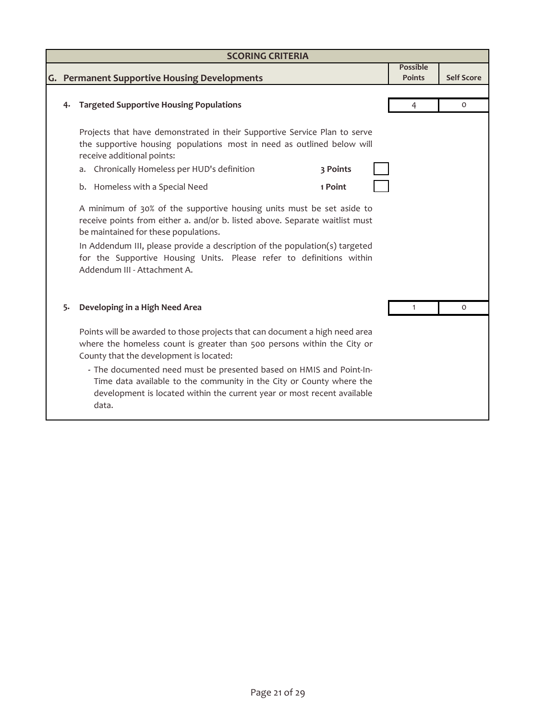| <b>SCORING CRITERIA</b> |                                                                                                                                                                                                                                                                                                                                                                                                                                      |                                  |                   |  |  |
|-------------------------|--------------------------------------------------------------------------------------------------------------------------------------------------------------------------------------------------------------------------------------------------------------------------------------------------------------------------------------------------------------------------------------------------------------------------------------|----------------------------------|-------------------|--|--|
|                         |                                                                                                                                                                                                                                                                                                                                                                                                                                      | <b>Possible</b><br><b>Points</b> | <b>Self Score</b> |  |  |
|                         | G. Permanent Supportive Housing Developments                                                                                                                                                                                                                                                                                                                                                                                         |                                  |                   |  |  |
| 4.                      | <b>Targeted Supportive Housing Populations</b>                                                                                                                                                                                                                                                                                                                                                                                       | 4                                | $\circ$           |  |  |
|                         | Projects that have demonstrated in their Supportive Service Plan to serve<br>the supportive housing populations most in need as outlined below will<br>receive additional points:                                                                                                                                                                                                                                                    |                                  |                   |  |  |
|                         | a. Chronically Homeless per HUD's definition<br>3 Points                                                                                                                                                                                                                                                                                                                                                                             |                                  |                   |  |  |
|                         | b. Homeless with a Special Need<br>1 Point                                                                                                                                                                                                                                                                                                                                                                                           |                                  |                   |  |  |
|                         | A minimum of 30% of the supportive housing units must be set aside to<br>receive points from either a. and/or b. listed above. Separate waitlist must<br>be maintained for these populations.<br>In Addendum III, please provide a description of the population(s) targeted<br>for the Supportive Housing Units. Please refer to definitions within<br>Addendum III - Attachment A.                                                 |                                  |                   |  |  |
| 5.                      | Developing in a High Need Area                                                                                                                                                                                                                                                                                                                                                                                                       |                                  | 0                 |  |  |
|                         | Points will be awarded to those projects that can document a high need area<br>where the homeless count is greater than 500 persons within the City or<br>County that the development is located:<br>- The documented need must be presented based on HMIS and Point-In-<br>Time data available to the community in the City or County where the<br>development is located within the current year or most recent available<br>data. |                                  |                   |  |  |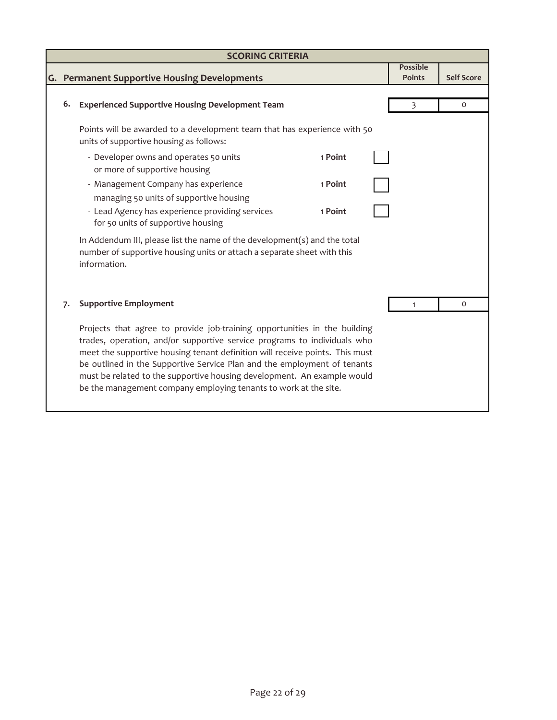| <b>SCORING CRITERIA</b> |    |                                                                                                                                                                                                                                                                                                                                                                                                                                                                  |                 |                   |  |  |
|-------------------------|----|------------------------------------------------------------------------------------------------------------------------------------------------------------------------------------------------------------------------------------------------------------------------------------------------------------------------------------------------------------------------------------------------------------------------------------------------------------------|-----------------|-------------------|--|--|
|                         |    |                                                                                                                                                                                                                                                                                                                                                                                                                                                                  | <b>Possible</b> |                   |  |  |
|                         |    | G. Permanent Supportive Housing Developments                                                                                                                                                                                                                                                                                                                                                                                                                     | <b>Points</b>   | <b>Self Score</b> |  |  |
|                         | 6. | <b>Experienced Supportive Housing Development Team</b>                                                                                                                                                                                                                                                                                                                                                                                                           | 3               | 0                 |  |  |
|                         |    | Points will be awarded to a development team that has experience with 50<br>units of supportive housing as follows:                                                                                                                                                                                                                                                                                                                                              |                 |                   |  |  |
|                         |    | - Developer owns and operates 50 units<br>1 Point<br>or more of supportive housing                                                                                                                                                                                                                                                                                                                                                                               |                 |                   |  |  |
|                         |    | - Management Company has experience<br>1 Point<br>managing 50 units of supportive housing                                                                                                                                                                                                                                                                                                                                                                        |                 |                   |  |  |
|                         |    | - Lead Agency has experience providing services<br>1 Point<br>for 50 units of supportive housing                                                                                                                                                                                                                                                                                                                                                                 |                 |                   |  |  |
|                         |    | In Addendum III, please list the name of the development(s) and the total<br>number of supportive housing units or attach a separate sheet with this<br>information.                                                                                                                                                                                                                                                                                             |                 |                   |  |  |
|                         | 7. | <b>Supportive Employment</b>                                                                                                                                                                                                                                                                                                                                                                                                                                     |                 | $\Omega$          |  |  |
|                         |    | Projects that agree to provide job-training opportunities in the building<br>trades, operation, and/or supportive service programs to individuals who<br>meet the supportive housing tenant definition will receive points. This must<br>be outlined in the Supportive Service Plan and the employment of tenants<br>must be related to the supportive housing development. An example would<br>be the management company employing tenants to work at the site. |                 |                   |  |  |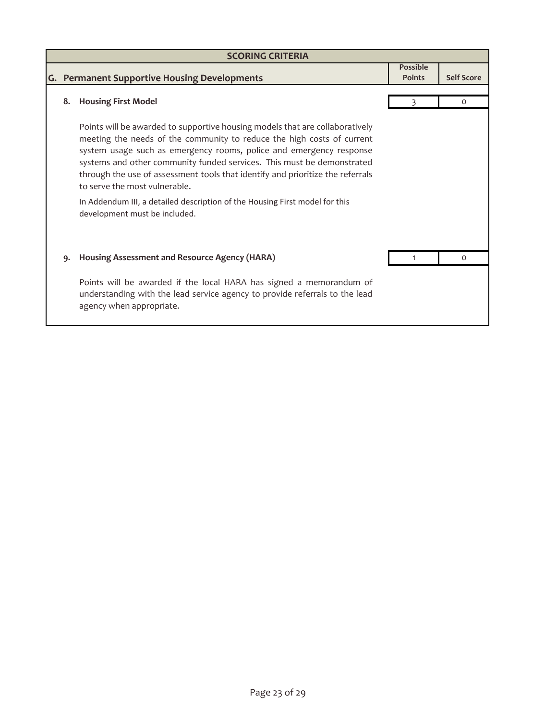| <b>SCORING CRITERIA</b> |                                                                                                                                                                                                                                                                                                                                                                                                                            |                                  |                   |  |
|-------------------------|----------------------------------------------------------------------------------------------------------------------------------------------------------------------------------------------------------------------------------------------------------------------------------------------------------------------------------------------------------------------------------------------------------------------------|----------------------------------|-------------------|--|
|                         | G. Permanent Supportive Housing Developments                                                                                                                                                                                                                                                                                                                                                                               | <b>Possible</b><br><b>Points</b> | <b>Self Score</b> |  |
| 8.                      | <b>Housing First Model</b>                                                                                                                                                                                                                                                                                                                                                                                                 |                                  | $\circ$           |  |
|                         | Points will be awarded to supportive housing models that are collaboratively<br>meeting the needs of the community to reduce the high costs of current<br>system usage such as emergency rooms, police and emergency response<br>systems and other community funded services. This must be demonstrated<br>through the use of assessment tools that identify and prioritize the referrals<br>to serve the most vulnerable. |                                  |                   |  |
|                         | In Addendum III, a detailed description of the Housing First model for this<br>development must be included.                                                                                                                                                                                                                                                                                                               |                                  |                   |  |
| 9.                      | Housing Assessment and Resource Agency (HARA)                                                                                                                                                                                                                                                                                                                                                                              |                                  | $\Omega$          |  |
|                         | Points will be awarded if the local HARA has signed a memorandum of<br>understanding with the lead service agency to provide referrals to the lead<br>agency when appropriate.                                                                                                                                                                                                                                             |                                  |                   |  |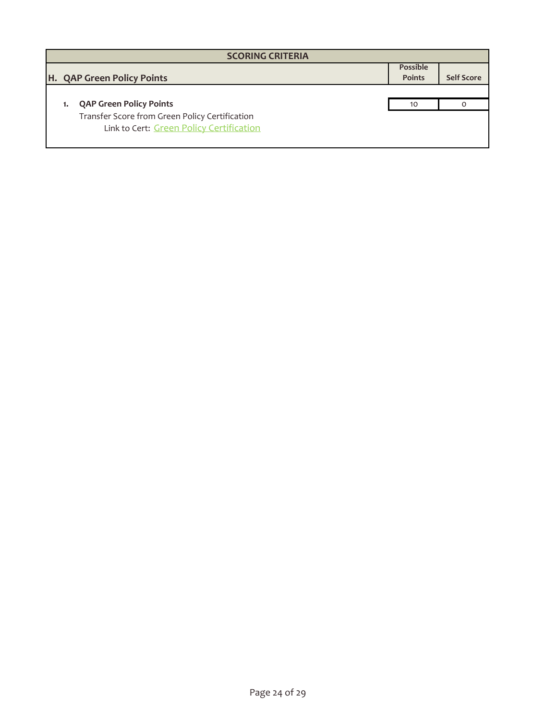| <b>SCORING CRITERIA</b>                  |                                                |    |                   |  |
|------------------------------------------|------------------------------------------------|----|-------------------|--|
| <b>Possible</b><br><b>Points</b>         |                                                |    |                   |  |
| H. QAP Green Policy Points               |                                                |    | <b>Self Score</b> |  |
|                                          |                                                |    |                   |  |
| 1.                                       | <b>QAP Green Policy Points</b>                 | 10 |                   |  |
|                                          | Transfer Score from Green Policy Certification |    |                   |  |
| Link to Cert: Green Policy Certification |                                                |    |                   |  |
|                                          |                                                |    |                   |  |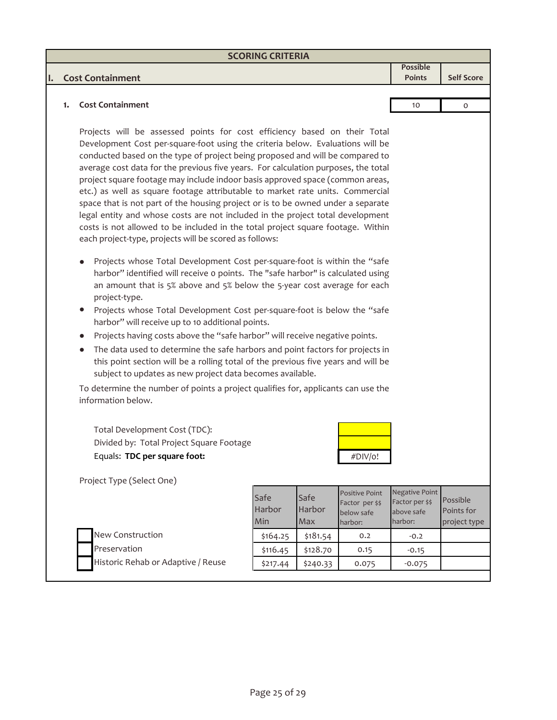| <b>SCORING CRITERIA</b>                                                   |               |                   |
|---------------------------------------------------------------------------|---------------|-------------------|
|                                                                           | Possible      |                   |
| I. Cost Containment                                                       | <b>Points</b> | <b>Self Score</b> |
|                                                                           |               |                   |
| <b>Cost Containment</b><br>1.                                             | 10            |                   |
|                                                                           |               |                   |
| Projects will be assessed points for cost efficiency based on their Total |               |                   |

Development Cost per-square-foot using the criteria below. Evaluations will be conducted based on the type of project being proposed and will be compared to average cost data for the previous five years. For calculation purposes, the total project square footage may include indoor basis approved space (common areas, etc.) as well as square footage attributable to market rate units. Commercial space that is not part of the housing project or is to be owned under a separate legal entity and whose costs are not included in the project total development costs is not allowed to be included in the total project square footage. Within each project-type, projects will be scored as follows:

- *●* Projects whose Total Development Cost per‐square‐foot is within the "safe harbor" identified will receive 0 points. The "safe harbor" is calculated using an amount that is 5% above and 5% below the 5‐year cost average for each project‐type.
- Projects whose Total Development Cost per-square-foot is below the "safe harbor" will receive up to 10 additional points.
- *●* Projects having costs above the "safe harbor" will receive negative points.
- *●* The data used to determine the safe harbors and point factors for projects in this point section will be a rolling total of the previous five years and will be subject to updates as new project data becomes available.

To determine the number of points a project qualifies for, applicants can use the information below.

| Total Development Cost (TDC):            |         |
|------------------------------------------|---------|
| Divided by: Total Project Square Footage |         |
| Equals: TDC per square foot:             | #DIV/o! |

Project Type (Select One)

|                                    | Safe<br>Harbor<br>Min | Safe<br>Harbor<br><b>Max</b> | <b>Positive Point</b><br>Factor per \$\$<br>below safe<br>harbor: | Negative Point<br>Factor per \$\$<br>above safe<br>harbor: | Possible<br>Points for<br>project type |
|------------------------------------|-----------------------|------------------------------|-------------------------------------------------------------------|------------------------------------------------------------|----------------------------------------|
| New Construction                   | \$164.25              | \$181.54                     | 0.2                                                               | $-0.2$                                                     |                                        |
| Preservation                       | \$116.45              | \$128.70                     | 0.15                                                              | $-0.15$                                                    |                                        |
| Historic Rehab or Adaptive / Reuse | \$217.44              | \$240.33                     | 0.075                                                             | $-0.075$                                                   |                                        |
|                                    |                       |                              |                                                                   |                                                            |                                        |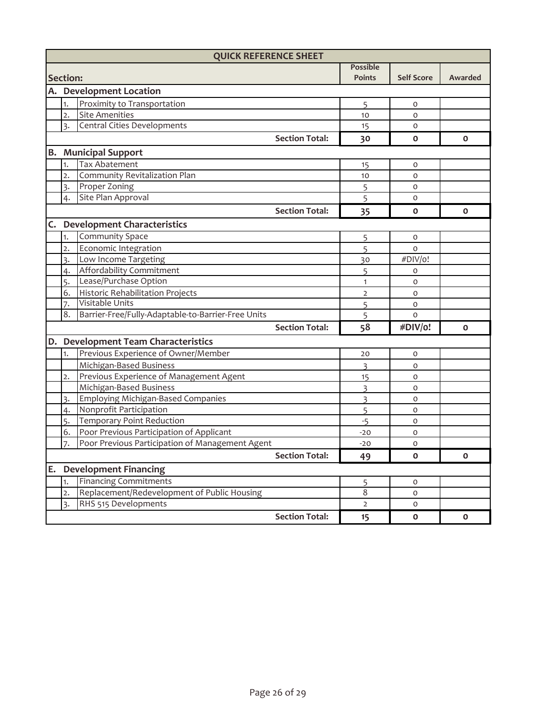|                                    |                  | <b>QUICK REFERENCE SHEET</b>                       |                 |                   |              |
|------------------------------------|------------------|----------------------------------------------------|-----------------|-------------------|--------------|
|                                    |                  |                                                    | <b>Possible</b> |                   |              |
|                                    | <b>Section:</b>  |                                                    | <b>Points</b>   | <b>Self Score</b> | Awarded      |
|                                    |                  | A. Development Location                            |                 |                   |              |
|                                    | 1.               | Proximity to Transportation                        | 5               | O                 |              |
|                                    | $\overline{2}$ . | <b>Site Amenities</b>                              | 10              | O                 |              |
|                                    | 3.               | Central Cities Developments                        | 15              | O                 |              |
|                                    |                  | <b>Section Total:</b>                              | 30              | O                 | $\mathbf{o}$ |
| В.                                 |                  | <b>Municipal Support</b>                           |                 |                   |              |
|                                    | 1.               | <b>Tax Abatement</b>                               | 15              | O                 |              |
|                                    | 2.               | Community Revitalization Plan                      | 10              | $\Omega$          |              |
|                                    | 3.               | Proper Zoning                                      | 5               | $\Omega$          |              |
|                                    | 4.               | Site Plan Approval                                 | 5               | O                 |              |
|                                    |                  | <b>Section Total:</b>                              | 35              | O                 | $\mathbf 0$  |
| C.                                 |                  | <b>Development Characteristics</b>                 |                 |                   |              |
|                                    | 1.               | <b>Community Space</b>                             | 5               | 0                 |              |
|                                    | 2.               | Economic Integration                               | 5               | $\Omega$          |              |
|                                    | 3.               | Low Income Targeting                               | 30              | #DIV/o!           |              |
|                                    | 4.               | Affordability Commitment                           | 5               | O                 |              |
|                                    | 5.               | Lease/Purchase Option                              | $\mathbf{1}$    | O                 |              |
|                                    | 6.               | Historic Rehabilitation Projects                   | $\overline{2}$  | 0                 |              |
|                                    | 7.               | Visitable Units                                    | 5               | O                 |              |
|                                    | 8.               | Barrier-Free/Fully-Adaptable-to-Barrier-Free Units | 5               | O                 |              |
|                                    |                  | <b>Section Total:</b>                              | 58              | #DIV/o!           | $\Omega$     |
| D.                                 |                  | <b>Development Team Characteristics</b>            |                 |                   |              |
|                                    | 1.               | Previous Experience of Owner/Member                | 20              | O                 |              |
|                                    |                  | Michigan-Based Business                            | 3               | O                 |              |
|                                    | $\overline{2}$ . | Previous Experience of Management Agent            | 15              | O                 |              |
|                                    |                  | Michigan-Based Business                            | $\overline{3}$  | O                 |              |
|                                    | 3.               | <b>Employing Michigan-Based Companies</b>          | 3               | O                 |              |
|                                    | 4.               | Nonprofit Participation                            | 5               | O                 |              |
|                                    | 5.               | <b>Temporary Point Reduction</b>                   | $-5$            | $\Omega$          |              |
|                                    | 6.               | Poor Previous Participation of Applicant           | $-20$           | $\circ$           |              |
|                                    | 7.               | Poor Previous Participation of Management Agent    | $-20$           | $\Omega$          |              |
|                                    |                  | <b>Section Total:</b>                              | 49              | O                 | $\mathbf{o}$ |
| <b>Development Financing</b><br>Ε. |                  |                                                    |                 |                   |              |
|                                    | 1.               | <b>Financing Commitments</b>                       | 5               | O                 |              |
|                                    | 2.               | Replacement/Redevelopment of Public Housing        | 8               | 0                 |              |
|                                    | 3.               | RHS 515 Developments                               | $\overline{2}$  | O                 |              |
|                                    |                  | <b>Section Total:</b>                              | 15              | $\mathbf{o}$      | $\mathbf 0$  |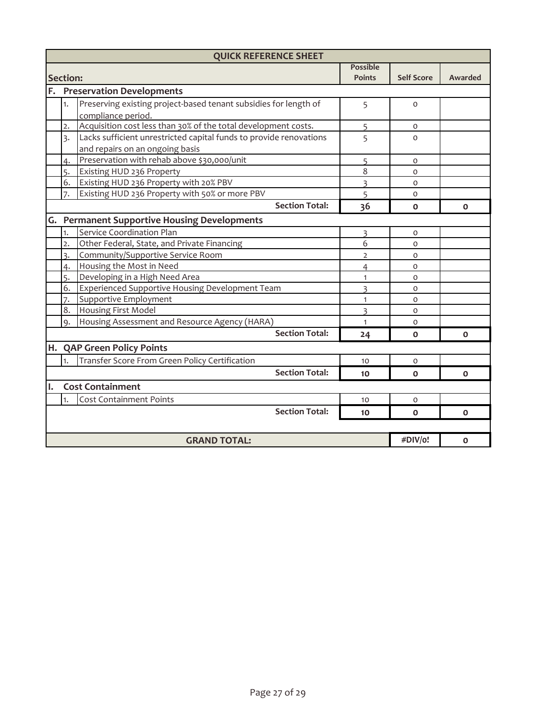|                 |                                               | <b>QUICK REFERENCE SHEET</b>                                       |                         |                   |              |
|-----------------|-----------------------------------------------|--------------------------------------------------------------------|-------------------------|-------------------|--------------|
| <b>Possible</b> |                                               |                                                                    |                         |                   |              |
|                 | Section:<br><b>Points</b>                     |                                                                    |                         | <b>Self Score</b> | Awarded      |
|                 |                                               | F. Preservation Developments                                       |                         |                   |              |
|                 | 1.                                            | Preserving existing project-based tenant subsidies for length of   | 5                       | $\circ$           |              |
|                 |                                               | compliance period.                                                 |                         |                   |              |
|                 | 2.                                            | Acquisition cost less than 30% of the total development costs.     | 5                       | 0                 |              |
|                 | $\overline{3}$ .                              | Lacks sufficient unrestricted capital funds to provide renovations | 5                       | $\Omega$          |              |
|                 |                                               | and repairs on an ongoing basis                                    |                         |                   |              |
|                 | 4.                                            | Preservation with rehab above \$30,000/unit                        | 5                       | O                 |              |
|                 | 5.                                            | Existing HUD 236 Property                                          | 8                       | $\Omega$          |              |
|                 | 6.                                            | Existing HUD 236 Property with 20% PBV                             | 3                       | $\Omega$          |              |
|                 | 7.                                            | Existing HUD 236 Property with 50% or more PBV                     | 5                       | $\Omega$          |              |
|                 |                                               | <b>Section Total:</b>                                              | 36                      | $\mathbf{o}$      | $\Omega$     |
|                 |                                               | G. Permanent Supportive Housing Developments                       |                         |                   |              |
|                 | 1.                                            | Service Coordination Plan                                          | $\overline{3}$          | O                 |              |
|                 | $\overline{2}$ .                              | Other Federal, State, and Private Financing                        | 6                       | O                 |              |
|                 | $\overline{3}$ .                              | Community/Supportive Service Room                                  | $\overline{2}$          | O                 |              |
|                 | 4.                                            | Housing the Most in Need                                           | 4                       | $\Omega$          |              |
|                 | 5.                                            | Developing in a High Need Area                                     | $\mathbf{1}$            | $\Omega$          |              |
|                 | 6.                                            | Experienced Supportive Housing Development Team                    | $\overline{\mathbf{3}}$ | O                 |              |
|                 | 7.                                            | Supportive Employment                                              | $\mathbf{1}$            | $\Omega$          |              |
|                 | 8.                                            | <b>Housing First Model</b>                                         | 3                       | $\Omega$          |              |
|                 | 9.                                            | Housing Assessment and Resource Agency (HARA)                      | $\mathbf{1}$            | $\Omega$          |              |
|                 |                                               | <b>Section Total:</b>                                              | 24                      | $\mathbf{o}$      | $\mathbf 0$  |
|                 |                                               | H. QAP Green Policy Points                                         |                         |                   |              |
|                 | 1.                                            | Transfer Score From Green Policy Certification                     | 10                      | O                 |              |
|                 |                                               | <b>Section Total:</b>                                              | 10                      | $\Omega$          | $\Omega$     |
| Ι.              |                                               | <b>Cost Containment</b>                                            |                         |                   |              |
|                 | 1.                                            | <b>Cost Containment Points</b>                                     | 10                      | 0                 |              |
|                 |                                               | <b>Section Total:</b>                                              | 10 <sup>2</sup>         | $\mathbf{o}$      | $\mathbf{o}$ |
|                 |                                               |                                                                    |                         |                   |              |
|                 | <b>GRAND TOTAL:</b><br>#DIV/o!<br>$\mathbf 0$ |                                                                    |                         |                   |              |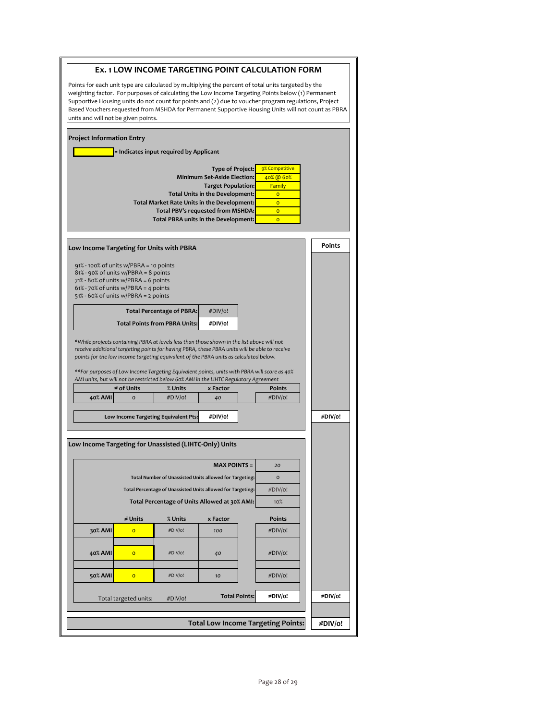